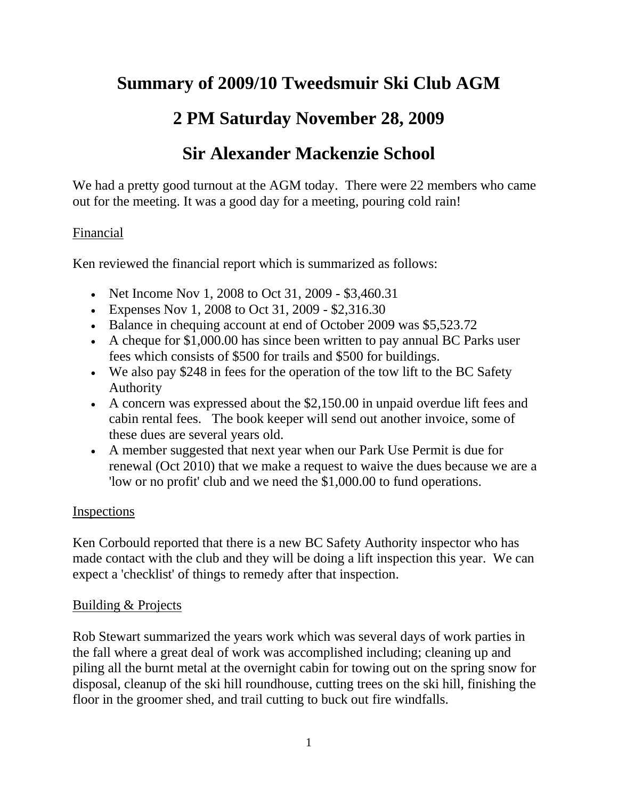# **Summary of 2009/10 Tweedsmuir Ski Club AGM**

# **2 PM Saturday November 28, 2009**

# **Sir Alexander Mackenzie School**

We had a pretty good turnout at the AGM today. There were 22 members who came out for the meeting. It was a good day for a meeting, pouring cold rain!

### Financial

Ken reviewed the financial report which is summarized as follows:

- Net Income Nov 1, 2008 to Oct 31, 2009 \$3,460.31
- Expenses Nov 1, 2008 to Oct 31, 2009 \$2,316.30
- Balance in chequing account at end of October 2009 was \$5,523.72
- A cheque for \$1,000.00 has since been written to pay annual BC Parks user fees which consists of \$500 for trails and \$500 for buildings.
- We also pay \$248 in fees for the operation of the tow lift to the BC Safety Authority
- A concern was expressed about the \$2,150.00 in unpaid overdue lift fees and cabin rental fees. The book keeper will send out another invoice, some of these dues are several years old.
- A member suggested that next year when our Park Use Permit is due for renewal (Oct 2010) that we make a request to waive the dues because we are a 'low or no profit' club and we need the \$1,000.00 to fund operations.

### Inspections

Ken Corbould reported that there is a new BC Safety Authority inspector who has made contact with the club and they will be doing a lift inspection this year. We can expect a 'checklist' of things to remedy after that inspection.

### Building & Projects

Rob Stewart summarized the years work which was several days of work parties in the fall where a great deal of work was accomplished including; cleaning up and piling all the burnt metal at the overnight cabin for towing out on the spring snow for disposal, cleanup of the ski hill roundhouse, cutting trees on the ski hill, finishing the floor in the groomer shed, and trail cutting to buck out fire windfalls.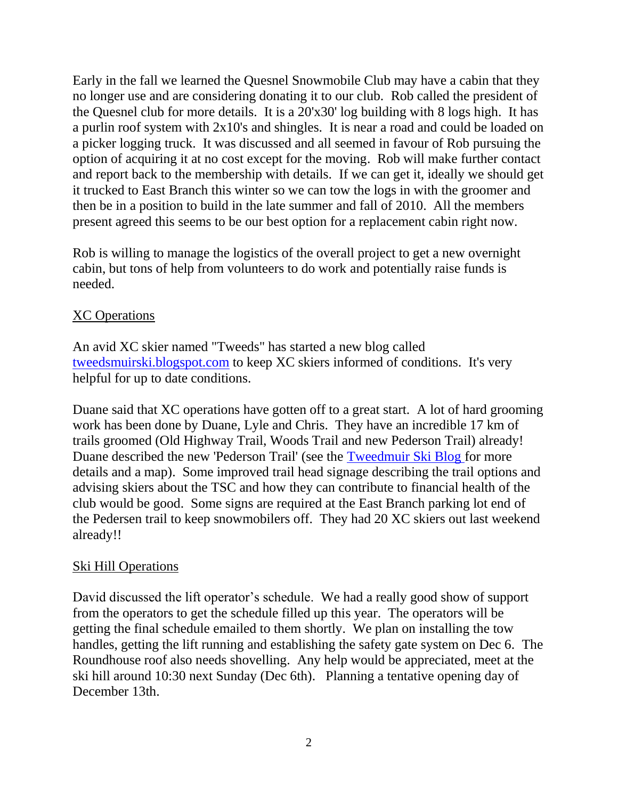Early in the fall we learned the Quesnel Snowmobile Club may have a cabin that they no longer use and are considering donating it to our club. Rob called the president of the Quesnel club for more details. It is a 20'x30' log building with 8 logs high. It has a purlin roof system with 2x10's and shingles. It is near a road and could be loaded on a picker logging truck. It was discussed and all seemed in favour of Rob pursuing the option of acquiring it at no cost except for the moving. Rob will make further contact and report back to the membership with details. If we can get it, ideally we should get it trucked to East Branch this winter so we can tow the logs in with the groomer and then be in a position to build in the late summer and fall of 2010. All the members present agreed this seems to be our best option for a replacement cabin right now.

Rob is willing to manage the logistics of the overall project to get a new overnight cabin, but tons of help from volunteers to do work and potentially raise funds is needed.

#### XC Operations

An avid XC skier named "Tweeds" has started a new blog called [tweedsmuirski.blogspot.com](http://tweedsmuirski.blogspot.com/) to keep XC skiers informed of conditions. It's very helpful for up to date conditions.

Duane said that XC operations have gotten off to a great start. A lot of hard grooming work has been done by Duane, Lyle and Chris. They have an incredible 17 km of trails groomed (Old Highway Trail, Woods Trail and new Pederson Trail) already! Duane described the new 'Pederson Trail' (see the [Tweedmuir Ski Blog f](http://2.bp.blogspot.com/_VFm_uRgYBDM/Svi5j-7w1lI/AAAAAAAAAAo/kBzkMA5-jjw/s1600-h/Heckman+Pass+Cross+Country+Ski+Trails+5.jpg)or more details and a map). Some improved trail head signage describing the trail options and advising skiers about the TSC and how they can contribute to financial health of the club would be good. Some signs are required at the East Branch parking lot end of the Pedersen trail to keep snowmobilers off. They had 20 XC skiers out last weekend already!!

### Ski Hill Operations

David discussed the lift operator's schedule. We had a really good show of support from the operators to get the schedule filled up this year. The operators will be getting the final schedule emailed to them shortly. We plan on installing the tow handles, getting the lift running and establishing the safety gate system on Dec 6. The Roundhouse roof also needs shovelling. Any help would be appreciated, meet at the ski hill around 10:30 next Sunday (Dec 6th). Planning a tentative opening day of December 13th.